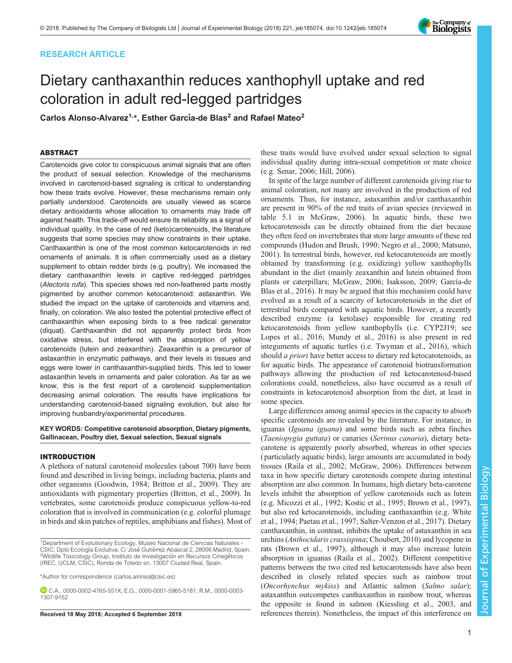## RESEARCH ARTICLE

# Dietary canthaxanthin reduces xanthophyll uptake and red coloration in adult red-legged partridges

Carlos Alonso-Alvarez<sup>1,\*</sup>, Esther García-de Blas<sup>2</sup> and Rafael Mateo<sup>2</sup>

## ABSTRACT

Carotenoids give color to conspicuous animal signals that are often the product of sexual selection. Knowledge of the mechanisms involved in carotenoid-based signaling is critical to understanding how these traits evolve. However, these mechanisms remain only partially understood. Carotenoids are usually viewed as scarce dietary antioxidants whose allocation to ornaments may trade off against health. This trade-off would ensure its reliability as a signal of individual quality. In the case of red (keto)carotenoids, the literature suggests that some species may show constraints in their uptake. Canthaxanthin is one of the most common ketocarotenoids in red ornaments of animals. It is often commercially used as a dietary supplement to obtain redder birds (e.g. poultry). We increased the dietary canthaxanthin levels in captive red-legged partridges (Alectoris rufa). This species shows red non-feathered parts mostly pigmented by another common ketocarotenoid: astaxanthin. We studied the impact on the uptake of carotenoids and vitamins and, finally, on coloration. We also tested the potential protective effect of canthaxanthin when exposing birds to a free radical generator (diquat). Canthaxanthin did not apparently protect birds from oxidative stress, but interfered with the absorption of yellow carotenoids (lutein and zeaxanthin). Zeaxanthin is a precursor of astaxanthin in enzymatic pathways, and their levels in tissues and eggs were lower in canthaxanthin-supplied birds. This led to lower astaxanthin levels in ornaments and paler coloration. As far as we know, this is the first report of a carotenoid supplementation decreasing animal coloration. The results have implications for understanding carotenoid-based signaling evolution, but also for improving husbandry/experimental procedures.

## KEY WORDS: Competitive carotenoid absorption, Dietary pigments, Gallinacean, Poultry diet, Sexual selection, Sexual signals

## INTRODUCTION

A plethora of natural carotenoid molecules (about 700) have been found and described in living beings, including bacteria, plants and other organisms [\(Goodwin, 1984](#page-10-0); [Britton et al., 2009](#page-10-0)). They are antioxidants with pigmentary properties [\(Britton, et al., 2009](#page-10-0)). In vertebrates, some carotenoids produce conspicuous yellow-to-red coloration that is involved in communication (e.g. colorful plumage in birds and skin patches of reptiles, amphibians and fishes). Most of

\*Author for correspondence [\(carlos.alonso@csic.es](mailto:carlos.alonso@csic.es))

these traits would have evolved under sexual selection to signal individual quality during intra-sexual competition or mate choice (e.g. [Senar, 2006;](#page-11-0) [Hill, 2006\)](#page-10-0).

In spite of the large number of different carotenoids giving rise to animal coloration, not many are involved in the production of red ornaments. Thus, for instance, astaxanthin and/or canthaxanthin are present in 90% of the red traits of avian species (reviewed in table 5.1 in [McGraw, 2006\)](#page-11-0). In aquatic birds, these two ketocarotenoids can be directly obtained from the diet because they often feed on invertebrates that store large amounts of these red compounds [\(Hudon and Brush, 1990;](#page-10-0) [Negro et al., 2000; Matsuno,](#page-11-0) [2001\)](#page-11-0). In terrestrial birds, however, red ketocarotenoids are mostly obtained by transforming (e.g. oxidizing) yellow xanthophylls abundant in the diet (mainly zeaxanthin and lutein obtained from plants or caterpillars; [McGraw, 2006](#page-11-0); [Isaksson, 2009; García-de](#page-10-0) [Blas et al., 2016\)](#page-10-0). It may be argued that this mechanism could have evolved as a result of a scarcity of ketocarotenoids in the diet of terrestrial birds compared with aquatic birds. However, a recently described enzyme (a ketolase) responsible for creating red ketocarotenoids from yellow xanthophylls (i.e. CYP2J19; see [Lopes et al., 2016;](#page-10-0) [Mundy et al., 2016\)](#page-11-0) is also present in red integuments of aquatic turtles (i.e. [Twyman et al., 2016\)](#page-11-0), which should *a priori* have better access to dietary red ketocarotenoids, as for aquatic birds. The appearance of carotenoid biotransformation pathways allowing the production of red ketocarotenoid-based colorations could, nonetheless, also have occurred as a result of constraints in ketocarotenoid absorption from the diet, at least in some species.

Large differences among animal species in the capacity to absorb specific carotenoids are revealed by the literature. For instance, in iguanas (Iguana iguana) and some birds such as zebra finches (Taeniopygia guttata) or canaries (Serinus canaria), dietary betacarotene is apparently poorly absorbed, whereas in other species ( particularly aquatic birds), large amounts are accumulated in body tissues ([Raila et al., 2002](#page-11-0); [McGraw, 2006](#page-11-0)). Differences between taxa in how specific dietary carotenoids compete during intestinal absorption are also common. In humans, high dietary beta-carotene levels inhibit the absorption of yellow carotenoids such as lutein (e.g. [Micozzi et al., 1992;](#page-11-0) [Kostic et al., 1995; Brown et al](#page-10-0)., 1997), but also red ketocarotenoids, including canthaxanthin (e.g. [White](#page-11-0) [et al., 1994](#page-11-0); [Paetau et al., 1997](#page-11-0); [Salter-Venzon et al., 2017](#page-11-0)). Dietary canthaxanthin, in contrast, inhibits the uptake of astaxanthin in sea urchins (Anthocidaris crassispina; [Choubert, 2010](#page-10-0)) and lycopene in rats ([Brown et al., 1997](#page-10-0)), although it may also increase lutein absorption in iguanas [\(Raila et al., 2002](#page-11-0)). Different competitive patterns between the two cited red ketocarotenoids have also been described in closely related species such as rainbow trout (Oncorhynchus mykiss) and Atlantic salmon (Salmo salar); astaxanthin outcompetes canthaxanthin in rainbow trout, whereas the opposite is found in salmon ([Kiessling et al., 2003,](#page-10-0) and Received 18 May 2018; Accepted 6 September 2018 references therein). Nonetheless, the impact of this interference on

Journal of Experimental Biology

Journal of

Experimental Biology



<sup>&</sup>lt;sup>1</sup>Department of Evolutionary Ecology, Museo Nacional de Ciencias Naturales -CSIC, Dpto Ecología Evolutiva, C/ José Gutiérrez Abascal 2, 28006 Madrid, Spain. <sup>2</sup>Wildlife Toxicology Group, Instituto de Investigación en Recursos Cinegéticos (IREC, UCLM, CSIC), Ronda de Toledo sn, 13007 Ciudad Real, Spain.

C.A., [0000-0002-4765-551X;](http://orcid.org/0000-0002-4765-551X) E.G., [0000-0001-5965-5181;](http://orcid.org/0000-0001-5965-5181) R.M., [0000-0003-](http://orcid.org/0000-0003-1307-9152) [1307-9152](http://orcid.org/0000-0003-1307-9152)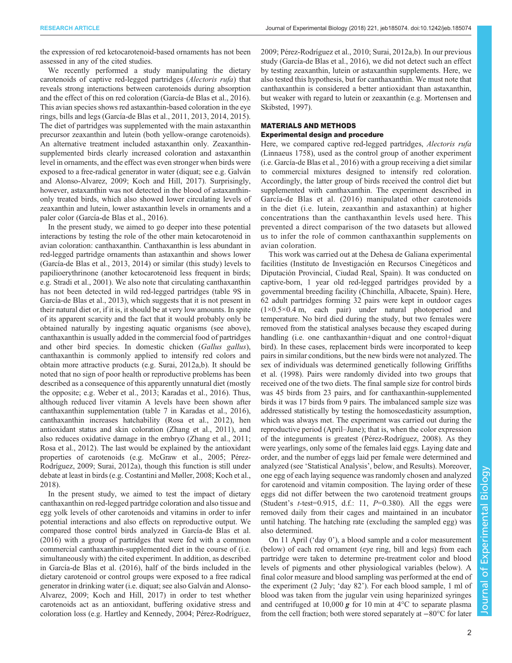the expression of red ketocarotenoid-based ornaments has not been assessed in any of the cited studies.

We recently performed a study manipulating the dietary carotenoids of captive red-legged partridges (Alectoris rufa) that reveals strong interactions between carotenoids during absorption and the effect of this on red coloration [\(García-de Blas et al., 2016\)](#page-10-0). This avian species shows red astaxanthin-based coloration in the eye rings, bills and legs [\(García-de Blas et al., 2011](#page-10-0), [2013, 2014](#page-10-0), [2015\)](#page-10-0). The diet of partridges was supplemented with the main astaxanthin precursor zeaxanthin and lutein (both yellow-orange carotenoids). An alternative treatment included astaxanthin only. Zeaxanthinsupplemented birds clearly increased coloration and astaxanthin level in ornaments, and the effect was even stronger when birds were exposed to a free-radical generator in water (diquat; see e.g. [Galván](#page-10-0) [and Alonso-Alvarez, 2009; Koch and Hill, 2017\)](#page-10-0). Surprisingly, however, astaxanthin was not detected in the blood of astaxanthinonly treated birds, which also showed lower circulating levels of zeaxanthin and lutein, lower astaxanthin levels in ornaments and a paler color [\(García-de Blas et al., 2016\)](#page-10-0).

In the present study, we aimed to go deeper into these potential interactions by testing the role of the other main ketocarotenoid in avian coloration: canthaxanthin. Canthaxanthin is less abundant in red-legged partridge ornaments than astaxanthin and shows lower [\(García-de Blas et al., 2013](#page-10-0), [2014](#page-10-0)) or similar (this study) levels to papilioerythrinone (another ketocarotenoid less frequent in birds; e.g. [Stradi et al., 2001](#page-11-0)). We also note that circulating canthaxanthin has not been detected in wild red-legged partridges (table 9S in [García-de Blas et al., 2013\)](#page-10-0), which suggests that it is not present in their natural diet or, if it is, it should be at very low amounts. In spite of its apparent scarcity and the fact that it would probably only be obtained naturally by ingesting aquatic organisms (see above), canthaxanthin is usually added in the commercial food of partridges and other bird species. In domestic chicken (Gallus gallus), canthaxanthin is commonly applied to intensify red colors and obtain more attractive products (e.g. [Surai, 2012a,b](#page-11-0)). It should be noted that no sign of poor health or reproductive problems has been described as a consequence of this apparently unnatural diet (mostly the opposite; e.g. [Weber et al., 2013;](#page-11-0) [Karadas et al., 2016](#page-10-0)). Thus, although reduced liver vitamin A levels have been shown after canthaxanthin supplementation (table 7 in [Karadas et al., 2016\)](#page-10-0), canthaxanthin increases hatchability ([Rosa et al., 2012\)](#page-11-0), hen antioxidant status and skin coloration ([Zhang et al., 2011\)](#page-11-0), and also reduces oxidative damage in the embryo [\(Zhang et al., 2011](#page-11-0); [Rosa et al., 2012](#page-11-0)). The last would be explained by the antioxidant properties of carotenoids (e.g. [McGraw et al., 2005](#page-11-0); [Pérez-](#page-11-0)[Rodríguez, 2009](#page-11-0); [Surai, 2012a\)](#page-11-0), though this function is still under debate at least in birds (e.g. [Costantini and Møller, 2008](#page-10-0); [Koch et al.,](#page-10-0) [2018](#page-10-0)).

In the present study, we aimed to test the impact of dietary canthaxanthin on red-legged partridge coloration and also tissue and egg yolk levels of other carotenoids and vitamins in order to infer potential interactions and also effects on reproductive output. We compared those control birds analyzed in [García-de Blas et al.](#page-10-0) [\(2016\)](#page-10-0) with a group of partridges that were fed with a common commercial canthaxanthin-supplemented diet in the course of (i.e. simultaneously with) the cited experiment. In addition, as described in [García-de Blas et al. \(2016\)](#page-10-0), half of the birds included in the dietary carotenoid or control groups were exposed to a free radical generator in drinking water (i.e. diquat; see also [Galván and Alonso-](#page-10-0)[Alvarez, 2009; Koch and Hill, 2017\)](#page-10-0) in order to test whether carotenoids act as an antioxidant, buffering oxidative stress and coloration loss (e.g. [Hartley and Kennedy, 2004;](#page-10-0) [Pérez-Rodríguez,](#page-11-0)

[2009; Pérez-Rodríguez et al., 2010](#page-11-0); [Surai, 2012a,b](#page-11-0)). In our previous study ([García-de Blas et al., 2016\)](#page-10-0), we did not detect such an effect by testing zeaxanthin, lutein or astaxanthin supplements. Here, we also tested this hypothesis, but for canthaxanthin. We must note that canthaxanthin is considered a better antioxidant than astaxanthin, but weaker with regard to lutein or zeaxanthin (e.g. [Mortensen and](#page-11-0) [Skibsted, 1997](#page-11-0)).

## MATERIALS AND METHODS

Experimental design and procedure

Here, we compared captive red-legged partridges, Alectoris rufa (Linnaeus 1758), used as the control group of another experiment (i.e. [García-de Blas et al., 2016](#page-10-0)) with a group receiving a diet similar to commercial mixtures designed to intensify red coloration. Accordingly, the latter group of birds received the control diet but supplemented with canthaxanthin. The experiment described in [García-de Blas et al. \(2016\)](#page-10-0) manipulated other carotenoids in the diet (i.e. lutein, zeaxanthin and astaxanthin) at higher concentrations than the canthaxanthin levels used here. This prevented a direct comparison of the two datasets but allowed us to infer the role of common canthaxanthin supplements on avian coloration.

This work was carried out at the Dehesa de Galiana experimental facilities (Instituto de Investigación en Recursos Cinegéticos and Diputación Provincial, Ciudad Real, Spain). It was conducted on captive-born, 1 year old red-legged partridges provided by a governmental breeding facility (Chinchilla, Albacete, Spain). Here, 62 adult partridges forming 32 pairs were kept in outdoor cages  $(1\times0.5\times0.4 \text{ m}, \text{ each pair})$  under natural photoperiod and temperature. No bird died during the study, but two females were removed from the statistical analyses because they escaped during handling (i.e. one canthaxanthin+diquat and one control+diquat bird). In these cases, replacement birds were incorporated to keep pairs in similar conditions, but the new birds were not analyzed. The sex of individuals was determined genetically following [Griffiths](#page-10-0) [et al. \(1998\).](#page-10-0) Pairs were randomly divided into two groups that received one of the two diets. The final sample size for control birds was 45 birds from 23 pairs, and for canthaxanthin-supplemented birds it was 17 birds from 9 pairs. The imbalanced sample size was addressed statistically by testing the homoscedasticity assumption, which was always met. The experiment was carried out during the reproductive period (April–June); that is, when the color expression of the integuments is greatest ([Pérez-Rodríguez, 2008](#page-11-0)). As they were yearlings, only some of the females laid eggs. Laying date and order, and the number of eggs laid per female were determined and analyzed (see 'Statistical Analysis', below, and Results). Moreover, one egg of each laying sequence was randomly chosen and analyzed for carotenoid and vitamin composition. The laying order of these eggs did not differ between the two carotenoid treatment groups (Student's  $t$ -test=0.915, d.f.: 11,  $P=0.380$ ). All the eggs were removed daily from their cages and maintained in an incubator until hatching. The hatching rate (excluding the sampled egg) was also determined.

On 11 April ('day 0'), a blood sample and a color measurement (below) of each red ornament (eye ring, bill and legs) from each partridge were taken to determine pre-treatment color and blood levels of pigments and other physiological variables (below). A final color measure and blood sampling was performed at the end of the experiment (2 July; 'day 82'). For each blood sample, 1 ml of blood was taken from the jugular vein using heparinized syringes and centrifuged at 10,000  $g$  for 10 min at 4 $\degree$ C to separate plasma from the cell fraction; both were stored separately at −80°C for later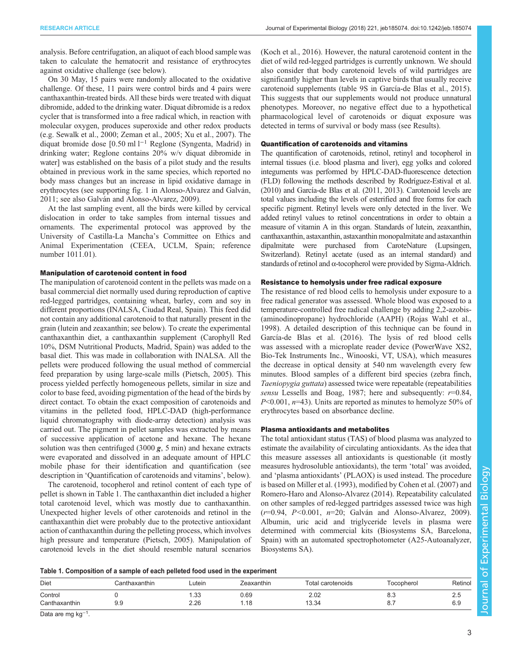<span id="page-2-0"></span>analysis. Before centrifugation, an aliquot of each blood sample was taken to calculate the hematocrit and resistance of erythrocytes against oxidative challenge (see below).

On 30 May, 15 pairs were randomly allocated to the oxidative challenge. Of these, 11 pairs were control birds and 4 pairs were canthaxanthin-treated birds. All these birds were treated with diquat dibromide, added to the drinking water. Diquat dibromide is a redox cycler that is transformed into a free radical which, in reaction with molecular oxygen, produces superoxide and other redox products (e.g. [Sewalk et al., 2000](#page-11-0); [Zeman et al., 2005; Xu et al., 2007](#page-11-0)). The diquat bromide dose [0.50 ml l−<sup>1</sup> Reglone (Syngenta, Madrid) in drinking water; Reglone contains 20% w/v diquat dibromide in water] was established on the basis of a pilot study and the results obtained in previous work in the same species, which reported no body mass changes but an increase in lipid oxidative damage in erythrocytes (see supporting fig. 1 in [Alonso-Alvarez and Galván,](#page-10-0) [2011](#page-10-0); see also [Galván and Alonso-Alvarez, 2009](#page-10-0)).

At the last sampling event, all the birds were killed by cervical dislocation in order to take samples from internal tissues and ornaments. The experimental protocol was approved by the University of Castilla-La Mancha's Committee on Ethics and Animal Experimentation (CEEA, UCLM, Spain; reference number 1011.01).

## Manipulation of carotenoid content in food

The manipulation of carotenoid content in the pellets was made on a basal commercial diet normally used during reproduction of captive red-legged partridges, containing wheat, barley, corn and soy in different proportions (INALSA, Ciudad Real, Spain). This feed did not contain any additional carotenoid to that naturally present in the grain (lutein and zeaxanthin; see below). To create the experimental canthaxanthin diet, a canthaxanthin supplement (Carophyll Red 10%, DSM Nutritional Products, Madrid, Spain) was added to the basal diet. This was made in collaboration with INALSA. All the pellets were produced following the usual method of commercial feed preparation by using large-scale mills ([Pietsch, 2005\)](#page-11-0). This process yielded perfectly homogeneous pellets, similar in size and color to base feed, avoiding pigmentation of the head of the birds by direct contact. To obtain the exact composition of carotenoids and vitamins in the pelleted food, HPLC-DAD (high-performance liquid chromatography with diode-array detection) analysis was carried out. The pigment in pellet samples was extracted by means of successive application of acetone and hexane. The hexane solution was then centrifuged  $(3000 \, \text{g}, 5 \, \text{min})$  and hexane extracts were evaporated and dissolved in an adequate amount of HPLC mobile phase for their identification and quantification (see description in 'Quantification of carotenoids and vitamins', below).

The carotenoid, tocopherol and retinol content of each type of pellet is shown in Table 1. The canthaxanthin diet included a higher total carotenoid level, which was mostly due to canthaxanthin. Unexpected higher levels of other carotenoids and retinol in the canthaxanthin diet were probably due to the protective antioxidant action of canthaxanthin during the pelleting process, which involves high pressure and temperature [\(Pietsch, 2005](#page-11-0)). Manipulation of carotenoid levels in the diet should resemble natural scenarios

[\(Koch et al., 2016\)](#page-10-0). However, the natural carotenoid content in the diet of wild red-legged partridges is currently unknown. We should also consider that body carotenoid levels of wild partridges are significantly higher than levels in captive birds that usually receive carotenoid supplements (table 9S in [García-de Blas et al., 2015\)](#page-10-0). This suggests that our supplements would not produce unnatural phenotypes. Moreover, no negative effect due to a hypothetical pharmacological level of carotenoids or diquat exposure was detected in terms of survival or body mass (see Results).

## Quantification of carotenoids and vitamins

The quantification of carotenoids, retinol, retinyl and tocopherol in internal tissues (i.e. blood plasma and liver), egg yolks and colored integuments was performed by HPLC-DAD-fluorescence detection (FLD) following the methods described by [Rodríguez-Estival et al.](#page-11-0) [\(2010\)](#page-11-0) and [García-de Blas et al. \(2011, 2013\)](#page-10-0). Carotenoid levels are total values including the levels of esterified and free forms for each specific pigment. Retinyl levels were only detected in the liver. We added retinyl values to retinol concentrations in order to obtain a measure of vitamin A in this organ. Standards of lutein, zeaxanthin, canthaxanthin, astaxanthin, astaxanthin monopalmitate and astaxanthin dipalmitate were purchased from CaroteNature (Lupsingen, Switzerland). Retinyl acetate (used as an internal standard) and standards of retinol and α-tocopherol were provided by Sigma-Aldrich.

## Resistance to hemolysis under free radical exposure

The resistance of red blood cells to hemolysis under exposure to a free radical generator was assessed. Whole blood was exposed to a temperature-controlled free radical challenge by adding 2,2-azobis- (aminodinopropane) hydrochloride (AAPH) ([Rojas Wahl et al.,](#page-11-0) [1998\)](#page-11-0). A detailed description of this technique can be found in [García-de Blas et al. \(2016\).](#page-10-0) The lysis of red blood cells was assessed with a microplate reader device (PowerWave XS2, Bio-Tek Instruments Inc., Winooski, VT, USA), which measures the decrease in optical density at 540 nm wavelength every few minutes. Blood samples of a different bird species (zebra finch, Taeniopygia guttata) assessed twice were repeatable (repeatabilities sensu [Lessells and Boag, 1987](#page-10-0); here and subsequently:  $r=0.84$ ,  $P<0.001$ ,  $n=43$ ). Units are reported as minutes to hemolyze 50% of erythrocytes based on absorbance decline.

## Plasma antioxidants and metabolites

The total antioxidant status (TAS) of blood plasma was analyzed to estimate the availability of circulating antioxidants. As the idea that this measure assesses all antioxidants is questionable (it mostly measures hydrosoluble antioxidants), the term 'total' was avoided, and 'plasma antioxidants' (PLAOX) is used instead. The procedure is based on [Miller et al. \(1993\)](#page-11-0), modified by [Cohen et al. \(2007\)](#page-10-0) and [Romero-Haro and Alonso-Alvarez \(2014\)](#page-11-0). Repeatability calculated on other samples of red-legged partridges assessed twice was high  $(r=0.94, P<0.001, n=20;$  [Galván and Alonso-Alvarez, 2009\)](#page-10-0). Albumin, uric acid and triglyceride levels in plasma were determined with commercial kits (Biosystems SA, Barcelona, Spain) with an automated spectrophotometer (A25-Autoanalyzer, Biosystems SA).

|  |  |  |  |  |  | Table 1. Composition of a sample of each pelleted food used in the experiment |  |  |  |  |  |  |  |  |  |  |  |  |
|--|--|--|--|--|--|-------------------------------------------------------------------------------|--|--|--|--|--|--|--|--|--|--|--|--|
|--|--|--|--|--|--|-------------------------------------------------------------------------------|--|--|--|--|--|--|--|--|--|--|--|--|

| <b>Diet</b>              | Canthaxanthin | ∟utein                | Zeaxanthin           | Total carotenoids     | <b>Focopherol</b> | Retinol       |
|--------------------------|---------------|-----------------------|----------------------|-----------------------|-------------------|---------------|
| Control<br>Canthaxanthin | 9.9           | $\sim$<br>ں ب<br>2.26 | 0.69<br>$\cdot$ . IO | ר∩ ר<br>Z.UZ<br>13.34 | 0.J<br>ν.,        | $\sim$<br>৩.৬ |

Data are mg kg<sup>-1</sup>.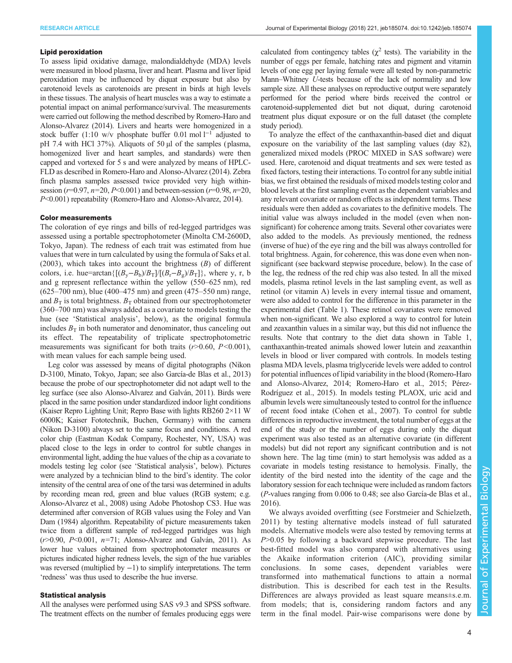## Lipid peroxidation

To assess lipid oxidative damage, malondialdehyde (MDA) levels were measured in blood plasma, liver and heart. Plasma and liver lipid peroxidation may be influenced by diquat exposure but also by carotenoid levels as carotenoids are present in birds at high levels in these tissues. The analysis of heart muscles was a way to estimate a potential impact on animal performance/survival. The measurements were carried out following the method described by [Romero-Haro and](#page-11-0) [Alonso-Alvarez \(2014\)](#page-11-0). Livers and hearts were homogenized in a stock buffer (1:10 w/v phosphate buffer 0.01 mol  $1^{-1}$  adjusted to pH 7.4 with HCl 37%). Aliquots of 50 µl of the samples (plasma, homogenized liver and heart samples, and standards) were then capped and vortexed for 5 s and were analyzed by means of HPLC-FLD as described in [Romero-Haro and Alonso-Alvarez \(2014\).](#page-11-0) Zebra finch plasma samples assessed twice provided very high withinsession ( $r=0.97$ ,  $n=20$ ,  $P<0.001$ ) and between-session ( $r=0.98$ ,  $n=20$ , P<0.001) repeatability [\(Romero-Haro and Alonso-Alvarez, 2014](#page-11-0)).

## Color measurements

The coloration of eye rings and bills of red-legged partridges was assessed using a portable spectrophotometer (Minolta CM-2600D, Tokyo, Japan). The redness of each trait was estimated from hue values that were in turn calculated by using the formula of [Saks et al.](#page-11-0)  $(2003)$ , which takes into account the brightness  $(B)$  of different colors, i.e. hue=arctan{ $[(B_v - B_b)/B_T]/[(B_r - B_g)/B_T]$ }, where y, r, b and g represent reflectance within the yellow (550–625 nm), red (625–700 nm), blue (400–475 nm) and green (475–550 nm) range, and  $B_T$  is total brightness.  $B_T$  obtained from our spectrophotometer (360–700 nm) was always added as a covariate to models testing the hue (see 'Statistical analysis', below), as the original formula includes  $B_T$  in both numerator and denominator, thus canceling out its effect. The repeatability of triplicate spectrophotometric measurements was significant for both traits  $(r>0.60, P<0.001)$ , with mean values for each sample being used.

Leg color was assessed by means of digital photographs (Nikon D-3100, Minato, Tokyo, Japan; see also [García-de Blas et al., 2013\)](#page-10-0) because the probe of our spectrophotometer did not adapt well to the leg surface (see also [Alonso-Alvarez and Galván, 2011](#page-10-0)). Birds were placed in the same position under standardized indoor light conditions (Kaiser Repro Lighting Unit; Repro Base with lights RB260 2×11 W 6000K; Kaiser Fototechnik, Buchen, Germany) with the camera (Nikon D-3100) always set to the same focus and conditions. A red color chip (Eastman Kodak Company, Rochester, NY, USA) was placed close to the legs in order to control for subtle changes in environmental light, adding the hue values of the chip as a covariate to models testing leg color (see 'Statistical analysis', below). Pictures were analyzed by a technician blind to the bird's identity. The color intensity of the central area of one of the tarsi was determined in adults by recording mean red, green and blue values (RGB system; e.g. [Alonso-Alvarez et al., 2008\)](#page-10-0) using Adobe Photoshop CS3. Hue was determined after conversion of RGB values using the [Foley and Van](#page-10-0) [Dam \(1984\)](#page-10-0) algorithm. Repeatability of picture measurements taken twice from a different sample of red-legged partridges was high  $(r>0.90, P<0.001, n=71;$  [Alonso-Alvarez and Galván, 2011\)](#page-10-0). As lower hue values obtained from spectrophotometer measures or pictures indicated higher redness levels, the sign of the hue variables was reversed (multiplied by  $-1$ ) to simplify interpretations. The term 'redness' was thus used to describe the hue inverse.

## Statistical analysis

All the analyses were performed using SAS v9.3 and SPSS software. The treatment effects on the number of females producing eggs were

calculated from contingency tables ( $\chi^2$  tests). The variability in the number of eggs per female, hatching rates and pigment and vitamin levels of one egg per laying female were all tested by non-parametric Mann–Whitney U-tests because of the lack of normality and low sample size. All these analyses on reproductive output were separately performed for the period where birds received the control or carotenoid-supplemented diet but not diquat, during carotenoid treatment plus diquat exposure or on the full dataset (the complete study period).

To analyze the effect of the canthaxanthin-based diet and diquat exposure on the variability of the last sampling values (day 82), generalized mixed models (PROC MIXED in SAS software) were used. Here, carotenoid and diquat treatments and sex were tested as fixed factors, testing their interactions. To control for any subtle initial bias, we first obtained the residuals of mixed models testing color and blood levels at the first sampling event as the dependent variables and any relevant covariate or random effects as independent terms. These residuals were then added as covariates to the definitive models. The initial value was always included in the model (even when nonsignificant) for coherence among traits. Several other covariates were also added to the models. As previously mentioned, the redness (inverse of hue) of the eye ring and the bill was always controlled for total brightness. Again, for coherence, this was done even when nonsignificant (see backward stepwise procedure, below). In the case of the leg, the redness of the red chip was also tested. In all the mixed models, plasma retinol levels in the last sampling event, as well as retinol (or vitamin A) levels in every internal tissue and ornament, were also added to control for the difference in this parameter in the experimental diet [\(Table 1\)](#page-2-0). These retinol covariates were removed when non-significant. We also explored a way to control for lutein and zeaxanthin values in a similar way, but this did not influence the results. Note that contrary to the diet data shown in [Table 1,](#page-2-0) canthaxanthin-treated animals showed lower lutein and zeaxanthin levels in blood or liver compared with controls. In models testing plasma MDA levels, plasma triglyceride levels were added to control for potential influences of lipid variability in the blood [\(Romero-Haro](#page-11-0) [and Alonso-Alvarez, 2014](#page-11-0); [Romero-Haro et al., 2015](#page-11-0); [Pérez-](#page-11-0)[Rodríguez et al., 2015](#page-11-0)). In models testing PLAOX, uric acid and albumin levels were simultaneously tested to control for the influence of recent food intake ([Cohen et al., 2007](#page-10-0)). To control for subtle differences in reproductive investment, the total number of eggs at the end of the study or the number of eggs during only the diquat experiment was also tested as an alternative covariate (in different models) but did not report any significant contribution and is not shown here. The lag time (min) to start hemolysis was added as a covariate in models testing resistance to hemolysis. Finally, the identity of the bird nested into the identity of the cage and the laboratory session for each technique were included as random factors (P-values ranging from 0.006 to 0.48; see also [García-de Blas et al.,](#page-10-0) [2016\)](#page-10-0).

We always avoided overfitting (see [Forstmeier and Schielzeth,](#page-10-0) [2011](#page-10-0)) by testing alternative models instead of full saturated models. Alternative models were also tested by removing terms at  $P > 0.05$  by following a backward stepwise procedure. The last best-fitted model was also compared with alternatives using the Akaike information criterion (AIC), providing similar conclusions. In some cases, dependent variables were transformed into mathematical functions to attain a normal distribution. This is described for each test in the Results. Differences are always provided as least square means±s.e.m. from models; that is, considering random factors and any term in the final model. Pair-wise comparisons were done by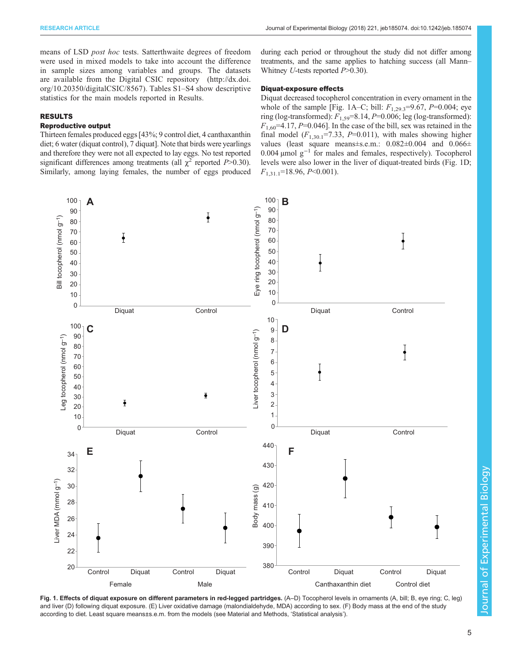<span id="page-4-0"></span>means of LSD post hoc tests. Satterthwaite degrees of freedom were used in mixed models to take into account the difference in sample sizes among variables and groups. The datasets are available from the Digital CSIC repository ([http://dx.doi.](http://dx.doi.org/10.20350/digitalCSIC/8567) [org/10.20350/digitalCSIC/8567\)](http://dx.doi.org/10.20350/digitalCSIC/8567). [Tables S1](http://jeb.biologists.org/lookup/doi/10.1242/jeb.185074.supplemental)–[S4](http://jeb.biologists.org/lookup/doi/10.1242/jeb.185074.supplemental) show descriptive statistics for the main models reported in Results.

## RESULTS

## Reproductive output

Thirteen females produced eggs [43%; 9 control diet, 4 canthaxanthin diet; 6 water (diquat control), 7 diquat]. Note that birds were yearlings and therefore they were not all expected to lay eggs. No test reported significant differences among treatments (all  $\chi^2$  reported P>0.30). Similarly, among laying females, the number of eggs produced during each period or throughout the study did not differ among treatments, and the same applies to hatching success (all Mann– Whitney U-tests reported  $P > 0.30$ .

## Diquat-exposure effects

Diquat decreased tocopherol concentration in every ornament in the whole of the sample [Fig. 1A–C; bill:  $F_{1,29,3}$ =9.67, P=0.004; eye ring (log-transformed):  $F_{1,59}$ =8.14, P=0.006; leg (log-transformed):  $F_{1,60}$ =4.17, P=0.046]. In the case of the bill, sex was retained in the final model  $(F_{1,30.1} = 7.33, P = 0.011)$ , with males showing higher values (least square means±s.e.m.:  $0.082\pm0.004$  and  $0.066\pm$ 0.004 µmol g−<sup>1</sup> for males and females, respectively). Tocopherol levels were also lower in the liver of diquat-treated birds (Fig. 1D;  $F_{1,31,1}$ =18.96, P<0.001).



Fig. 1. Effects of diquat exposure on different parameters in red-legged partridges. (A–D) Tocopherol levels in ornaments (A, bill; B, eye ring; C, leg) and liver (D) following diquat exposure. (E) Liver oxidative damage (malondialdehyde, MDA) according to sex. (F) Body mass at the end of the study according to diet. Least square means±s.e.m. from the models (see Material and Methods, 'Statistical analysis').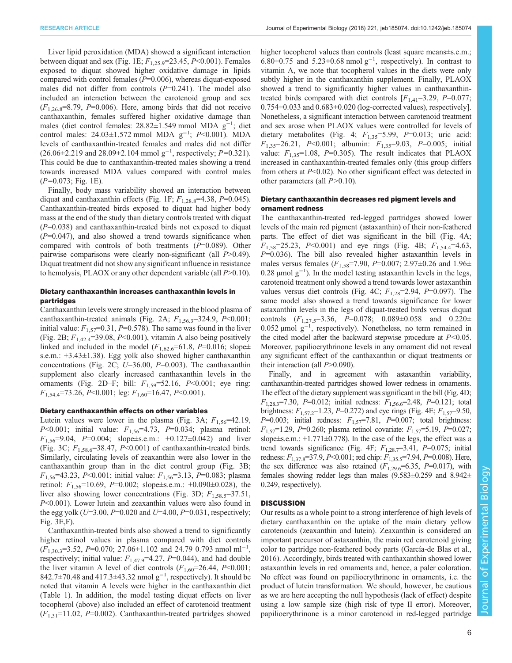RESEARCH ARTICLE **ARTICLE** ARTICLE ARTICLE ARTICLE **Journal of Experimental Biology (2018) 221**, jeb185074. doi:10.1242/jeb.185074

Liver lipid peroxidation (MDA) showed a significant interaction between diquat and sex ([Fig. 1E](#page-4-0);  $F_{1,25,9}$ =23.45, P<0.001). Females exposed to diquat showed higher oxidative damage in lipids compared with control females ( $P=0.006$ ), whereas diquat-exposed males did not differ from controls  $(P=0.241)$ . The model also included an interaction between the carotenoid group and sex  $(F_{1,26.8} = 8.79, P = 0.006)$ . Here, among birds that did not receive canthaxanthin, females suffered higher oxidative damage than males (diet control females: 28.82±1.549 mmol MDA g−<sup>1</sup> ; diet control males:  $24.03 \pm 1.572$  mmol MDA  $g^{-1}$ ;  $P < 0.001$ ). MDA levels of canthaxanthin-treated females and males did not differ (26.06±2.219 and 28.09±2.104 mmol g−<sup>1</sup> , respectively; P=0.321). This could be due to canthaxanthin-treated males showing a trend towards increased MDA values compared with control males  $(P=0.073; Fig. 1E)$  $(P=0.073; Fig. 1E)$  $(P=0.073; Fig. 1E)$ .

Finally, body mass variability showed an interaction between diquat and canthaxanthin effects ([Fig. 1](#page-4-0)F;  $F_{1,28.8}$ =4.38, P=0.045). Canthaxanthin-treated birds exposed to diquat had higher body mass at the end of the study than dietary controls treated with diquat  $(P=0.038)$  and canthaxanthin-treated birds not exposed to diquat  $(P=0.047)$ , and also showed a trend towards significance when compared with controls of both treatments  $(P=0.089)$ . Other pairwise comparisons were clearly non-significant (all  $P>0.49$ ). Diquat treatment did not show any significant influence in resistance to hemolysis, PLAOX or any other dependent variable (all  $P>0.10$ ).

## Dietary canthaxanthin increases canthaxanthin levels in partridges

Canthaxanthin levels were strongly increased in the blood plasma of canthaxanthin-treated animals [\(Fig. 2](#page-6-0)A;  $F_{1,56,3}$ =324.9, P<0.001; initial value:  $F_{1,57}=0.31, P=0.578$ ). The same was found in the liver [\(Fig. 2](#page-6-0)B;  $F_{1,42,4}$ =39.08, P<0.001), vitamin A also being positively linked and included in the model  $(F<sub>1.62.6</sub>=61.8, P=0.016; slope \pm$ s.e.m.: +3.43±1.38). Egg yolk also showed higher canthaxanthin concentrations ([Fig. 2](#page-6-0)C; U=36.00, P=0.003). The canthaxanthin supplement also clearly increased canthaxanthin levels in the ornaments [\(Fig. 2](#page-6-0)D–F; bill:  $F_{1,59} = 52.16$ ,  $P < 0.001$ ; eye ring:  $F_{1,54,4}$ =73.26, P<0.001; leg:  $F_{1,60}$ =16.47, P<0.001).

## Dietary canthaxanthin effects on other variables

Lutein values were lower in the plasma ([Fig. 3A](#page-7-0);  $F_{1.56}$ =42.19,  $P<0.001$ ; initial value:  $F_{1,56}=4.73$ ,  $P=0.034$ ; plasma retinol:  $F_{1,56}$ =9.04, P=0.004; slope±s.e.m.: +0.127±0.042) and liver [\(Fig. 3](#page-7-0)C;  $F_{1,58.6}$ =38.47, P<0.001) of canthaxanthin-treated birds. Similarly, circulating levels of zeaxanthin were also lower in the canthaxanthin group than in the diet control group [\(Fig. 3](#page-7-0)B;  $F_{1,56}$ =43.23, P<0.001; initial value:  $F_{1,56}$ =3.13, P=0.083; plasma retinol:  $F_{1,56}$ =10.69, P=0.002; slope±s.e.m.: +0.090±0.028), the liver also showing lower concentrations [\(Fig. 3D](#page-7-0);  $F_{1.58.5}$ =37.51, P<0.001). Lower lutein and zeaxanthin values were also found in the egg yolk ( $U=3.00$ ,  $P=0.020$  and  $U=4.00$ ,  $P=0.031$ , respectively; [Fig. 3](#page-7-0)E,F).

Canthaxanthin-treated birds also showed a trend to significantly higher retinol values in plasma compared with diet controls  $(F_{1,30.3}=3.52, P=0.070; 27.06\pm1.102 \text{ and } 24.79 0.793 \text{ nmol ml}^{-1},$ respectively; initial value:  $F_{1,47.9}$ =4.27, P=0.044), and had double the liver vitamin A level of diet controls  $(F_{1,60}=26.44, P<0.001;$ 842.7±70.48 and 417.3±43.32 nmol g<sup>-1</sup>, respectively). It should be noted that vitamin A levels were higher in the canthaxanthin diet [\(Table 1](#page-2-0)). In addition, the model testing diquat effects on liver tocopherol (above) also included an effect of carotenoid treatment  $(F_{1,31}=11.02, P=0.002)$ . Canthaxanthin-treated partridges showed higher tocopherol values than controls (least square means±s.e.m.; 6.80±0.75 and 5.23±0.68 nmol  $g^{-1}$ , respectively). In contrast to vitamin A, we note that tocopherol values in the diets were only subtly higher in the canthaxanthin supplement. Finally, PLAOX showed a trend to significantly higher values in canthaxanthintreated birds compared with diet controls  $[F<sub>1,41</sub>=3.29, P=0.077;$  $0.754\pm0.033$  and  $0.683\pm0.020$  (log-corrected values), respectively]. Nonetheless, a significant interaction between carotenoid treatment and sex arose when PLAOX values were controlled for levels of dietary metabolites (Fig. 4;  $F_{1,35} = 5.99$ ,  $P = 0.013$ ; uric acid:  $F_{1,35}$ =26.21, P<0.001; albumin:  $F_{1,35}$ =9.03, P=0.005; initial value:  $F_{1,35}$ =1.08, P=0.305). The result indicates that PLAOX increased in canthaxanthin-treated females only (this group differs from others at  $P<0.02$ ). No other significant effect was detected in other parameters (all  $P>0.10$ ).

## Dietary canthaxanthin decreases red pigment levels and ornament redness

The canthaxanthin-treated red-legged partridges showed lower levels of the main red pigment (astaxanthin) of their non-feathered parts. The effect of diet was significant in the bill ([Fig. 4A](#page-8-0);  $F_{1,58}$ =25.23, P<0.001) and eye rings ([Fig. 4B](#page-8-0);  $F_{1,54,4}$ =4.63,  $P=0.036$ ). The bill also revealed higher astaxanthin levels in males versus females ( $F_{1,58}$ =7.90, P=0.007; 2.97 $\pm$ 0.26 and 1.96 $\pm$ 0.28 µmol  $g^{-1}$ ). In the model testing astaxanthin levels in the legs, carotenoid treatment only showed a trend towards lower astaxanthin values versus diet controls ([Fig. 4C](#page-8-0);  $F_{1,28}=2.94$ ,  $P=0.097$ ). The same model also showed a trend towards significance for lower astaxanthin levels in the legs of diquat-treated birds versus diquat controls  $(F_{1,27.5} = 3.36, P = 0.078; 0.089 \pm 0.058$  and  $0.220 \pm$ 0.052 µmol g−<sup>1</sup> , respectively). Nonetheless, no term remained in the cited model after the backward stepwise procedure at  $P<0.05$ . Moreover, papilioerythrinone levels in any ornament did not reveal any significant effect of the canthaxanthin or diquat treatments or their interaction (all  $P > 0.090$ ).

Finally, and in agreement with astaxanthin variability, canthaxanthin-treated partridges showed lower redness in ornaments. The effect of the dietary supplement was significant in the bill [\(Fig. 4D](#page-8-0);  $F_{1,28.3}$ =7.30, P=0.012; initial redness:  $F_{1,56.6}$ =2.48, P=0.121; total brightness:  $F_{1,57.2}$ =1.23, P=0.272) and eye rings ([Fig. 4](#page-8-0)E;  $F_{1,57}$ =9.50,  $P=0.003$ ; initial redness:  $F_{1,57}=7.81$ ,  $P=0.007$ ; total brightness:  $F_{1,57}$ =1.29, P=0.260; plasma retinol covariate:  $F_{1,57}$ =5.19, P=0.027; slope $\pm$ s.e.m.:  $+1.771\pm0.778$ ). In the case of the legs, the effect was a trend towards significance [\(Fig. 4](#page-8-0)F;  $F_{1,28,7}=3.41$ , P=0.075; initial redness:  $F_{1,37.8}$ =37.9, P<0.001; red chip:  $F_{1,35.5}$ =7.94, P=0.008). Here, the sex difference was also retained  $(F_{1,29.6}=6.35, P=0.017)$ , with females showing redder legs than males (9.583±0.259 and 8.942± 0.249, respectively).

## **DISCUSSION**

Our results as a whole point to a strong interference of high levels of dietary canthaxanthin on the uptake of the main dietary yellow carotenoids (zeaxanthin and lutein). Zeaxanthin is considered an important precursor of astaxanthin, the main red carotenoid giving color to partridge non-feathered body parts [\(García-de Blas et al.,](#page-10-0) [2016\)](#page-10-0). Accordingly, birds treated with canthaxanthin showed lower astaxanthin levels in red ornaments and, hence, a paler coloration. No effect was found on papilioerythrinone in ornaments, i.e. the product of lutein transformation. We should, however, be cautious as we are here accepting the null hypothesis (lack of effect) despite using a low sample size (high risk of type II error). Moreover, papilioerythrinone is a minor carotenoid in red-legged partridge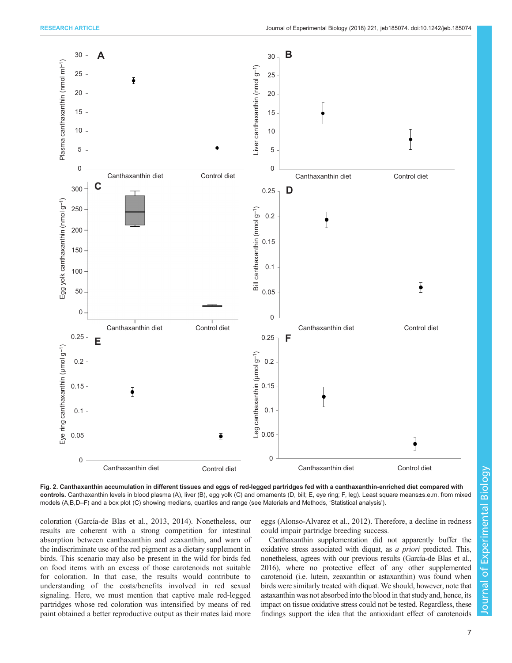<span id="page-6-0"></span>

Fig. 2. Canthaxanthin accumulation in different tissues and eggs of red-legged partridges fed with a canthaxanthin-enriched diet compared with controls. Canthaxanthin levels in blood plasma (A), liver (B), egg yolk (C) and ornaments (D, bill; E, eye ring; F, leg). Least square means±s.e.m. from mixed models (A,B,D–F) and a box plot (C) showing medians, quartiles and range (see Materials and Methods, 'Statistical analysis').

coloration ([García-de Blas et al., 2013, 2014](#page-10-0)). Nonetheless, our results are coherent with a strong competition for intestinal absorption between canthaxanthin and zeaxanthin, and warn of the indiscriminate use of the red pigment as a dietary supplement in birds. This scenario may also be present in the wild for birds fed on food items with an excess of those carotenoids not suitable for coloration. In that case, the results would contribute to understanding of the costs/benefits involved in red sexual signaling. Here, we must mention that captive male red-legged partridges whose red coloration was intensified by means of red paint obtained a better reproductive output as their mates laid more eggs ([Alonso-Alvarez et al., 2012\)](#page-10-0). Therefore, a decline in redness could impair partridge breeding success.

Canthaxanthin supplementation did not apparently buffer the oxidative stress associated with diquat, as a priori predicted. This, nonetheless, agrees with our previous results [\(García-de Blas et al.,](#page-10-0) [2016\)](#page-10-0), where no protective effect of any other supplemented carotenoid (i.e. lutein, zeaxanthin or astaxanthin) was found when birds were similarly treated with diquat. We should, however, note that astaxanthin was not absorbed into the blood in that study and, hence, its impact on tissue oxidative stress could not be tested. Regardless, these findings support the idea that the antioxidant effect of carotenoids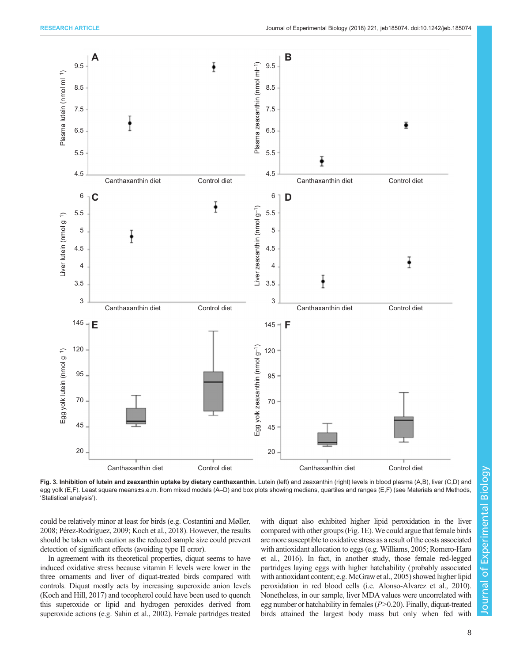<span id="page-7-0"></span>

Fig. 3. Inhibition of lutein and zeaxanthin uptake by dietary canthaxanthin. Lutein (left) and zeaxanthin (right) levels in blood plasma (A,B), liver (C,D) and egg yolk (E,F). Least square means±s.e.m. from mixed models (A–D) and box plots showing medians, quartiles and ranges (E,F) (see Materials and Methods, 'Statistical analysis').

could be relatively minor at least for birds (e.g. [Costantini and Møller,](#page-10-0) [2008](#page-10-0); [Pérez-Rodríguez, 2009;](#page-11-0) [Koch et al., 2018\)](#page-10-0). However, the results should be taken with caution as the reduced sample size could prevent detection of significant effects (avoiding type II error).

In agreement with its theoretical properties, diquat seems to have induced oxidative stress because vitamin E levels were lower in the three ornaments and liver of diquat-treated birds compared with controls. Diquat mostly acts by increasing superoxide anion levels [\(Koch and Hill, 2017\)](#page-10-0) and tocopherol could have been used to quench this superoxide or lipid and hydrogen peroxides derived from superoxide actions (e.g. [Sahin et al., 2002\)](#page-11-0). Female partridges treated with diquat also exhibited higher lipid peroxidation in the liver compared with other groups ([Fig. 1E](#page-4-0)).We could argue that female birds are more susceptible to oxidative stress as a result of the costs associated with antioxidant allocation to eggs (e.g. [Williams, 2005; Romero-Haro](#page-11-0) [et al., 2016\)](#page-11-0). In fact, in another study, those female red-legged partridges laying eggs with higher hatchability (probably associated with antioxidant content; e.g. [McGraw et al., 2005](#page-11-0)) showed higher lipid peroxidation in red blood cells (i.e. [Alonso-Alvarez et al., 2010\)](#page-10-0). Nonetheless, in our sample, liver MDA values were uncorrelated with egg number or hatchability in females  $(P>0.20)$ . Finally, diquat-treated birds attained the largest body mass but only when fed with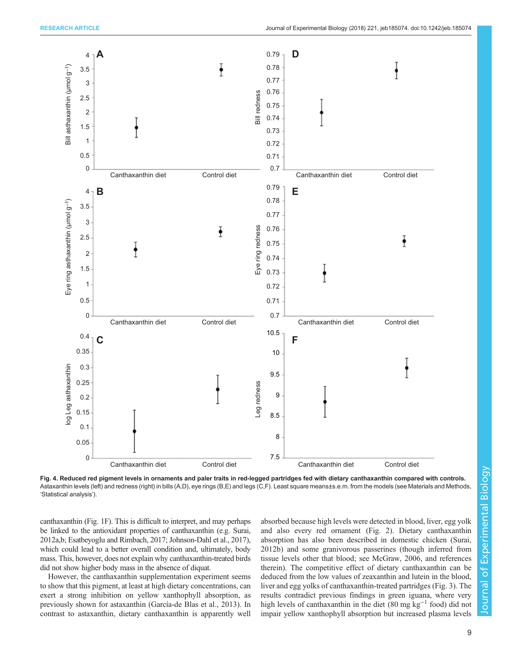<span id="page-8-0"></span>

Fig. 4. Reduced red pigment levels in ornaments and paler traits in red-legged partridges fed with dietary canthaxanthin compared with controls. Astaxanthin levels (left) and redness (right) in bills (A,D), eye rings (B,E) and legs (C,F). Least square means±s.e.m. from the models (see Materials and Methods, 'Statistical analysis').

canthaxanthin ([Fig. 1F](#page-4-0)). This is difficult to interpret, and may perhaps be linked to the antioxidant properties of canthaxanthin (e.g. [Surai,](#page-11-0) [2012a,b;](#page-11-0) [Esatbeyoglu and Rimbach, 2017](#page-10-0); [Johnson-Dahl et al., 2017\)](#page-10-0), which could lead to a better overall condition and, ultimately, body mass. This, however, does not explain why canthaxanthin-treated birds did not show higher body mass in the absence of diquat.

However, the canthaxanthin supplementation experiment seems to show that this pigment, at least at high dietary concentrations, can exert a strong inhibition on yellow xanthophyll absorption, as previously shown for astaxanthin ([García-de Blas et al., 2013\)](#page-10-0). In contrast to astaxanthin, dietary canthaxanthin is apparently well absorbed because high levels were detected in blood, liver, egg yolk and also every red ornament ([Fig. 2](#page-6-0)). Dietary canthaxanthin absorption has also been described in domestic chicken ([Surai,](#page-11-0) [2012b\)](#page-11-0) and some granivorous passerines (though inferred from tissue levels other that blood; see [McGraw, 2006,](#page-11-0) and references therein). The competitive effect of dietary canthaxanthin can be deduced from the low values of zeaxanthin and lutein in the blood, liver and egg yolks of canthaxanthin-treated partridges [\(Fig. 3\)](#page-7-0). The results contradict previous findings in green iguana, where very high levels of canthaxanthin in the diet (80 mg kg<sup>-1</sup> food) did not impair yellow xanthophyll absorption but increased plasma levels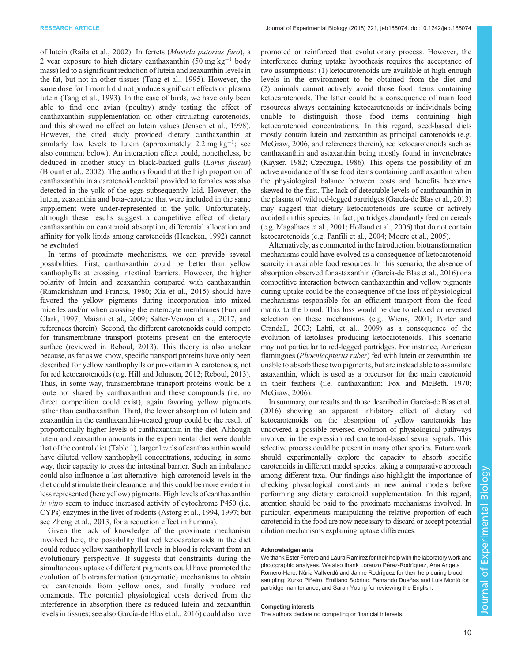of lutein ([Raila et al., 2002\)](#page-11-0). In ferrets (Mustela putorius furo), a 2 year exposure to high dietary canthaxanthin (50 mg kg−<sup>1</sup> body mass) led to a significant reduction of lutein and zeaxanthin levels in the fat, but not in other tissues ([Tang et al., 1995](#page-11-0)). However, the same dose for 1 month did not produce significant effects on plasma lutein [\(Tang et al., 1993\)](#page-11-0). In the case of birds, we have only been able to find one avian ( poultry) study testing the effect of canthaxanthin supplementation on other circulating carotenoids, and this showed no effect on lutein values [\(Jensen et al., 1998\)](#page-10-0). However, the cited study provided dietary canthaxanthin at similarly low levels to lutein (approximately 2.2 mg  $kg^{-1}$ ; see also comment below). An interaction effect could, nonetheless, be deduced in another study in black-backed gulls (Larus fuscus) [\(Blount et al., 2002\)](#page-10-0). The authors found that the high proportion of canthaxanthin in a carotenoid cocktail provided to females was also detected in the yolk of the eggs subsequently laid. However, the lutein, zeaxanthin and beta-carotene that were included in the same supplement were under-represented in the yolk. Unfortunately, although these results suggest a competitive effect of dietary canthaxanthin on carotenoid absorption, differential allocation and affinity for yolk lipids among carotenoids ([Hencken, 1992](#page-10-0)) cannot be excluded.

In terms of proximate mechanisms, we can provide several possibilities. First, canthaxanthin could be better than yellow xanthophylls at crossing intestinal barriers. However, the higher polarity of lutein and zeaxanthin compared with canthaxanthin [\(Ramakrishnan and Francis, 1980](#page-11-0); [Xia et al., 2015\)](#page-11-0) should have favored the yellow pigments during incorporation into mixed micelles and/or when crossing the enterocyte membranes [\(Furr and](#page-10-0) [Clark, 1997](#page-10-0); [Maiani et al., 2009](#page-11-0); [Salter-Venzon et al., 2017](#page-11-0), and references therein). Second, the different carotenoids could compete for transmembrane transport proteins present on the enterocyte surface (reviewed in [Reboul, 2013\)](#page-11-0). This theory is also unclear because, as far as we know, specific transport proteins have only been described for yellow xanthophylls or pro-vitamin A carotenoids, not for red ketocarotenoids (e.g. [Hill and Johnson, 2012;](#page-10-0) [Reboul, 2013\)](#page-11-0). Thus, in some way, transmembrane transport proteins would be a route not shared by canthaxanthin and these compounds (i.e. no direct competition could exist), again favoring yellow pigments rather than canthaxanthin. Third, the lower absorption of lutein and zeaxanthin in the canthaxanthin-treated group could be the result of proportionally higher levels of canthaxanthin in the diet. Although lutein and zeaxanthin amounts in the experimental diet were double that of the control diet ([Table 1](#page-2-0)), larger levels of canthaxanthin would have diluted yellow xanthophyll concentrations, reducing, in some way, their capacity to cross the intestinal barrier. Such an imbalance could also influence a last alternative: high carotenoid levels in the diet could stimulate their clearance, and this could be more evident in less represented (here yellow) pigments. High levels of canthaxanthin in vitro seem to induce increased activity of cytochrome P450 (i.e. CYPs) enzymes in the liver of rodents [\(Astorg et al., 1994](#page-10-0), [1997](#page-10-0); but see [Zheng et al., 2013,](#page-11-0) for a reduction effect in humans).

Given the lack of knowledge of the proximate mechanism involved here, the possibility that red ketocarotenoids in the diet could reduce yellow xanthophyll levels in blood is relevant from an evolutionary perspective. It suggests that constraints during the simultaneous uptake of different pigments could have promoted the evolution of biotransformation (enzymatic) mechanisms to obtain red carotenoids from yellow ones, and finally produce red ornaments. The potential physiological costs derived from the interference in absorption (here as reduced lutein and zeaxanthin levels in tissues; see also [García-de Blas et al., 2016](#page-10-0)) could also have promoted or reinforced that evolutionary process. However, the interference during uptake hypothesis requires the acceptance of two assumptions: (1) ketocarotenoids are available at high enough levels in the environment to be obtained from the diet and (2) animals cannot actively avoid those food items containing ketocarotenoids. The latter could be a consequence of main food resources always containing ketocarotenoids or individuals being unable to distinguish those food items containing high ketocarotenoid concentrations. In this regard, seed-based diets mostly contain lutein and zeaxanthin as principal carotenoids (e.g. [McGraw, 2006,](#page-11-0) and references therein), red ketocarotenoids such as canthaxanthin and astaxanthin being mostly found in invertebrates (Kayser, 1982; [Czeczuga, 1986](#page-10-0)). This opens the possibility of an active avoidance of those food items containing canthaxanthin when the physiological balance between costs and benefits becomes skewed to the first. The lack of detectable levels of canthaxanthin in the plasma of wild red-legged partridges [\(García-de Blas et al., 2013\)](#page-10-0) may suggest that dietary ketocarotenoids are scarce or actively avoided in this species. In fact, partridges abundantly feed on cereals (e.g. [Magalhaes et al., 2001](#page-11-0); [Holland et al., 2006\)](#page-10-0) that do not contain ketocarotenoids (e.g. [Panfili et al., 2004; Moore et al., 2005\)](#page-11-0).

Alternatively, as commented in the Introduction, biotransformation mechanisms could have evolved as a consequence of ketocarotenoid scarcity in available food resources. In this scenario, the absence of absorption observed for astaxanthin ([García-de Blas et al., 2016](#page-10-0)) or a competitive interaction between canthaxanthin and yellow pigments during uptake could be the consequence of the loss of physiological mechanisms responsible for an efficient transport from the food matrix to the blood. This loss would be due to relaxed or reversed selection on these mechanisms (e.g. [Wiens, 2001](#page-11-0); [Porter and](#page-11-0) [Crandall, 2003](#page-11-0); [Lahti, et al., 2009](#page-10-0)) as a consequence of the evolution of ketolases producing ketocarotenoids. This scenario may not particular to red-legged partridges. For instance, American flamingoes (Phoenicopterus ruber) fed with lutein or zeaxanthin are unable to absorb these two pigments, but are instead able to assimilate astaxanthin, which is used as a precursor for the main carotenoid in their feathers (i.e. canthaxanthin; [Fox and McBeth, 1970](#page-10-0); [McGraw, 2006\)](#page-11-0).

In summary, our results and those described in [García-de Blas et al.](#page-10-0) [\(2016\)](#page-10-0) showing an apparent inhibitory effect of dietary red ketocarotenoids on the absorption of yellow carotenoids has uncovered a possible reversed evolution of physiological pathways involved in the expression red carotenoid-based sexual signals. This selective process could be present in many other species. Future work should experimentally explore the capacity to absorb specific carotenoids in different model species, taking a comparative approach among different taxa. Our findings also highlight the importance of checking physiological constraints in new animal models before performing any dietary carotenoid supplementation. In this regard, attention should be paid to the proximate mechanisms involved. In particular, experiments manipulating the relative proportion of each carotenoid in the food are now necessary to discard or accept potential dilution mechanisms explaining uptake differences.

#### Acknowledgements

We thank Ester Ferrero and Laura Ramirez for their help with the laboratory work and photographic analyses. We also thank Lorenzo Pérez-Rodríguez, Ana Angela Romero-Haro, Núria Vallverdú and Jaime Rodríguez for their help during blood sampling; Xurxo Piñeiro, Emiliano Sobrino, Fernando Dueñas and Luis Montó for partridge maintenance; and Sarah Young for reviewing the English.

#### Competing interests

The authors declare no competing or financial interests.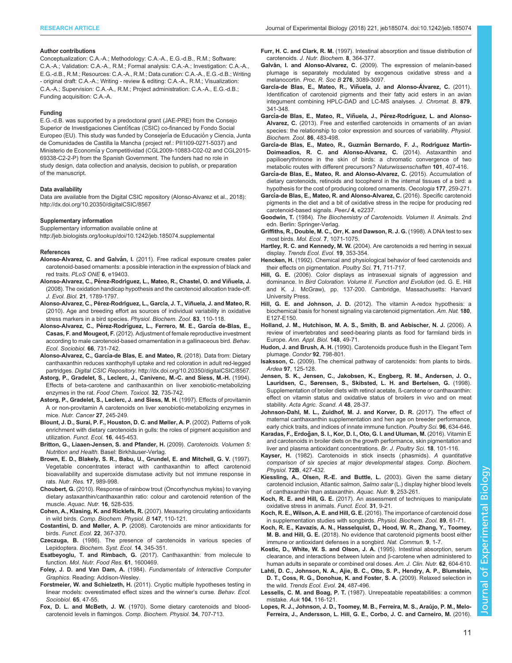#### <span id="page-10-0"></span>Author contributions

Conceptualization: C.A.-A.; Methodology: C.A.-A., E.G.-d.B., R.M.; Software: C.A.-A.; Validation: C.A.-A., R.M.; Formal analysis: C.A.-A.; Investigation: C.A.-A., E.G.-d.B., R.M.; Resources: C.A.-A., R.M.; Data curation: C.A.-A., E.G.-d.B.; Writing - original draft: C.A.-A.; Writing - review & editing: C.A.-A., R.M.; Visualization: C.A.-A.; Supervision: C.A.-A., R.M.; Project administration: C.A.-A., E.G.-d.B.; Funding acquisition: C.A.-A.

#### Funding

E.G.-d.B. was supported by a predoctoral grant (JAE-PRE) from the Consejo Superior de Investigaciones Científicas (CSIC) co-financed by Fondo Social Europeo (EU). This study was funded by Consejería de Educación y Ciencia, Junta de Comunidades de Castilla la Mancha (project ref.: PII1I09-0271-5037) and Ministerio de Economía y Competitividad (CGL2009-10883-C02-02 and CGL2015-69338-C2-2-P) from the Spanish Government. The funders had no role in study design, data collection and analysis, decision to publish, or preparation of the manuscript.

#### Data availability

Data are available from the Digital CSIC repository (Alonso-Alvarez et al., 2018): <http://dx.doi.org/10.20350/digitalCSIC/8567>

#### Supplementary information

Supplementary information available online at <http://jeb.biologists.org/lookup/doi/10.1242/jeb.185074.supplemental>

#### References

- Alonso-Alvarez, C. and Galván, I. [\(2011\). Free radical exposure creates paler](http://dx.doi.org/10.1371/journal.pone.0019403) [carotenoid-based ornaments: a possible interaction in the expression of black and](http://dx.doi.org/10.1371/journal.pone.0019403) red traits. [PLoS ONE](http://dx.doi.org/10.1371/journal.pone.0019403) 6, e19403.
- Alonso-Alvarez, C., Pérez-Rodríguez, L., Mateo, R., Chastel, O. and Viñuela, J. [\(2008\). The oxidation handicap hypothesis and the carotenoid allocation trade-off.](http://dx.doi.org/10.1111/j.1420-9101.2008.01591.x) J. Evol. Biol. 21[, 1789-1797.](http://dx.doi.org/10.1111/j.1420-9101.2008.01591.x)
- Alonso-Alvarez, C., Pérez-Rodríguez, L., García, J. T., Viñuela, J. and Mateo, R. [\(2010\). Age and breeding effort as sources of individual variability in oxidative](http://dx.doi.org/10.1086/605395) [stress markers in a bird species.](http://dx.doi.org/10.1086/605395) Physiol. Biochem. Zool. 83, 110-118.
- Alonso-Alvarez, C., Pérez-Rodrí[guez, L., Ferrero, M. E., Garc](http://dx.doi.org/10.1007/s00265-012-1321-8)ía de-Blas, E., Casas, F. and Mougeot, F. [\(2012\). Adjustment of female reproductive investment](http://dx.doi.org/10.1007/s00265-012-1321-8) [according to male carotenoid-based ornamentation in a gallinaceous bird.](http://dx.doi.org/10.1007/s00265-012-1321-8) Behav. [Ecol. Sociobiol.](http://dx.doi.org/10.1007/s00265-012-1321-8) 66, 731-742.
- Alonso-Alvarez, C., García-de Blas, E. and Mateo, R. (2018). Data from: Dietary canthaxanthin reduces xanthophyll uptake and red coloration in adult red-legged partridges. Digital CSIC Repository.<http://dx.doi.org/10.20350/digitalCSIC/8567>.
- [Astorg, P., Gradelet, S., Leclerc, J., Canivenc, M.-C. and Siess, M.-H.](http://dx.doi.org/10.1016/S0278-6915(09)80006-9) (1994). [Effects of beta-carotene and canthaxanthin on liver xenobiotic-metabolizing](http://dx.doi.org/10.1016/S0278-6915(09)80006-9) enzymes in the rat. [Food Chem. Toxicol.](http://dx.doi.org/10.1016/S0278-6915(09)80006-9) 32, 735-742.
- [Astorg, P., Gradelet, S., Leclerc, J. and Siess, M. H.](http://dx.doi.org/10.1080/01635589709514533) (1997). Effects of provitamin [A or non-provitamin A carotenoids on liver xenobiotic-metabolizing enzymes in](http://dx.doi.org/10.1080/01635589709514533) mice. [Nutr. Cancer](http://dx.doi.org/10.1080/01635589709514533) 27, 245-249.
- [Blount, J. D., Surai, P. F., Houston, D. C. and Møller, A. P.](http://dx.doi.org/10.1046/j.1365-2435.2002.00648.x) (2002). Patterns of yolk [enrichment with dietary carotenoids in gulls: the roles of pigment acquisition and](http://dx.doi.org/10.1046/j.1365-2435.2002.00648.x) utilization. [Funct. Ecol.](http://dx.doi.org/10.1046/j.1365-2435.2002.00648.x) 16, 445-453.
- Britton, G., Liaaen-Jensen, S. and Pfander, H. (2009). Carotenoids. Volumen 5: Nutrition and Health. Basel: Birkhäuser-Verlag.
- [Brown, E. D., Blakely, S. R., Babu, U., Grundel, E. and Mitchell, G. V.](http://dx.doi.org/10.1016/S0271-5317(97)00063-8) (1997). [Vegetable concentrates interact with canthaxanthin to affect carotenoid](http://dx.doi.org/10.1016/S0271-5317(97)00063-8) [bioavailability and superoxide dismutase activity but not immune response in](http://dx.doi.org/10.1016/S0271-5317(97)00063-8) rats. Nutr. Res. 17[, 989-998.](http://dx.doi.org/10.1016/S0271-5317(97)00063-8)
- Choubert, G. [\(2010\). Response of rainbow trout \(Oncorhynchus mykiss\) to varying](http://dx.doi.org/10.1111/j.1365-2095.2009.00692.x) [dietary astaxanthin/canthaxanthin ratio: colour and carotenoid retention of the](http://dx.doi.org/10.1111/j.1365-2095.2009.00692.x) muscle. [Aquac. Nutr.](http://dx.doi.org/10.1111/j.1365-2095.2009.00692.x) 16, 528-535.
- Cohen, A., Klasing, K. and Ricklefs, R. [\(2007\). Measuring circulating antioxidants](http://dx.doi.org/10.1016/j.cbpb.2006.12.015) in wild birds. [Comp. Biochem. Physiol. B](http://dx.doi.org/10.1016/j.cbpb.2006.12.015) 147, 110-121.
- Costantini, D. and Møller, A. P. [\(2008\). Carotenoids are minor antioxidants for](http://dx.doi.org/10.1111/j.1365-2435.2007.01366.x) birds. [Funct. Ecol.](http://dx.doi.org/10.1111/j.1365-2435.2007.01366.x) 22, 367-370.
- Czeczuga, B. [\(1986\). The presence of carotenoids in various species of](http://dx.doi.org/10.1016/0305-1978(86)90111-0) Lepidoptera. [Biochem. Syst. Ecol.](http://dx.doi.org/10.1016/0305-1978(86)90111-0) 14, 345-351.
- Esatbeyoglu, T. and Rimbach, G. [\(2017\). Canthaxanthin: from molecule to](http://dx.doi.org/10.1002/mnfr.201600469) function. [Mol. Nutr. Food Res.](http://dx.doi.org/10.1002/mnfr.201600469) 61, 1600469.
- Foley, J. D. and Van Dam, A. (1984). Fundamentals of Interactive Computer Graphics. Reading: Addison-Wesley.
- Forstmeier, W. and Schielzeth, H. [\(2011\). Cryptic multiple hypotheses testing in](http://dx.doi.org/10.1007/s00265-010-1038-5) [linear models: overestimated effect sizes and the winner](http://dx.doi.org/10.1007/s00265-010-1038-5)'s curse. Behav. Ecol. [Sociobiol.](http://dx.doi.org/10.1007/s00265-010-1038-5) 65, 47-55.
- Fox, D. L. and McBeth, J. W. [\(1970\). Some dietary carotenoids and blood](http://dx.doi.org/10.1016/0010-406X(70)90296-3)[carotenoid levels in flamingos.](http://dx.doi.org/10.1016/0010-406X(70)90296-3) Comp. Biochem. Physiol. 34, 707-713.

Furr, H. C. and Clark, R. M. [\(1997\). Intestinal absorption and tissue distribution of](http://dx.doi.org/10.1016/S0955-2863(97)00060-0) carotenoids. [J. Nutr. Biochem.](http://dx.doi.org/10.1016/S0955-2863(97)00060-0) 8, 364-377.

- Galván, I. and Alonso-Alvarez, C. [\(2009\). The expression of melanin-based](http://dx.doi.org/10.1098/rspb.2009.0774) [plumage is separately modulated by exogenous oxidative stress and a](http://dx.doi.org/10.1098/rspb.2009.0774) melanocortin. [Proc. R. Soc B](http://dx.doi.org/10.1098/rspb.2009.0774) 276, 3089-3097.
- García-de Blas, E., Mateo, R., Viñ[uela, J. and Alonso-Álvarez, C.](http://dx.doi.org/10.1016/j.jchromb.2010.12.019) (2011). [Identification of carotenoid pigments and their fatty acid esters in an avian](http://dx.doi.org/10.1016/j.jchromb.2010.12.019) [integument combining HPLC-DAD and LC-MS analyses.](http://dx.doi.org/10.1016/j.jchromb.2010.12.019) J. Chromat. B. 879, [341-348.](http://dx.doi.org/10.1016/j.jchromb.2010.12.019)
- García-de Blas, E., Mateo, R., Viñuela, J., Pérez-Rodríguez, L. and Alonso-Alvarez, C. [\(2013\). Free and esterified carotenoids in ornaments of an avian](http://dx.doi.org/10.1086/671812) [species: the relationship to color expression and sources of variability.](http://dx.doi.org/10.1086/671812) Physiol. [Biochem. Zool.](http://dx.doi.org/10.1086/671812) 86, 483-498.
- García-de Blas, E., Mateo, R., Guzmán Bernardo, F. J., Rodríguez Martín-[Doimeadios, R. C. and Alonso-Alvarez, C.](http://dx.doi.org/10.1007/s00114-014-1169-z) (2014). Astaxanthin and [papilioerythrinone in the skin of birds: a chromatic convergence of two](http://dx.doi.org/10.1007/s00114-014-1169-z) [metabolic routes with different precursors?](http://dx.doi.org/10.1007/s00114-014-1169-z) Naturwissenschaften 101, 407-416.
- Garcí[a-de Blas, E., Mateo, R. and Alonso-Alvarez, C.](http://dx.doi.org/10.1007/s00442-014-3163-8) (2015). Accumulation of [dietary carotenoids, retinoids and tocopherol in the internal tissues of a bird: a](http://dx.doi.org/10.1007/s00442-014-3163-8) [hypothesis for the cost of producing colored ornaments.](http://dx.doi.org/10.1007/s00442-014-3163-8) Oecologia 177, 259-271.
- Garcí[a-de Blas, E., Mateo, R. and Alonso-Alvarez, C.](http://dx.doi.org/10.7717/peerj.2237) (2016). Specific carotenoid [pigments in the diet and a bit of oxidative stress in the recipe for producing red](http://dx.doi.org/10.7717/peerj.2237) [carotenoid-based signals.](http://dx.doi.org/10.7717/peerj.2237) PeerJ 4, e2237.
- Goodwin, T. (1984). The Biochemistry of Carotenoids. Volumen II. Animals. 2nd edn. Berlin: Springer-Verlag.
- [Griffiths, R., Double, M. C., Orr, K. and Dawson, R. J. G.](http://dx.doi.org/10.1046/j.1365-294x.1998.00389.x) (1998). A DNA test to sex most birds. Mol. Ecol. 7[, 1071-1075.](http://dx.doi.org/10.1046/j.1365-294x.1998.00389.x)
- Hartley, R. C. and Kennedy, M. W. [\(2004\). Are carotenoids a red herring in sexual](http://dx.doi.org/10.1016/j.tree.2004.04.002) display. [Trends Ecol. Evol.](http://dx.doi.org/10.1016/j.tree.2004.04.002) 19, 353-354.
- Hencken, H. [\(1992\). Chemical and physiological behavior of feed carotenoids and](http://dx.doi.org/10.3382/ps.0710711) [their effects on pigmentation.](http://dx.doi.org/10.3382/ps.0710711) Poultry Sci. 71, 711-717.
- Hill, G. E. (2006). Color displays as intrasexual signals of aggression and dominance. In Bird Coloration. Volume II. Function and Evolution (ed. G. E. Hill and K. J. McGraw), pp. 137-200. Cambridge, Massachusetts: Harvard University Press.
- Hill, G. E. and Johnson, J. D. [\(2012\). The vitamin A-redox hypothesis: a](http://dx.doi.org/10.1086/667861) [biochemical basis for honest signaling via carotenoid pigmentation.](http://dx.doi.org/10.1086/667861) Am. Nat. 180, [E127-E150.](http://dx.doi.org/10.1086/667861)
- [Holland, J. M., Hutchison, M. A. S., Smith, B. and Aebischer, N. J.](http://dx.doi.org/10.1111/j.1744-7348.2006.00039.x) (2006). A [review of invertebrates and seed-bearing plants as food for farmland birds in](http://dx.doi.org/10.1111/j.1744-7348.2006.00039.x) Europe. [Ann. Appl. Biol.](http://dx.doi.org/10.1111/j.1744-7348.2006.00039.x) 148, 49-71.
- Hudon, J. and Brush, A. H. [\(1990\). Carotenoids produce flush in the Elegant Tern](http://dx.doi.org/10.2307/1368708) plumage. Condor 92[, 798-801.](http://dx.doi.org/10.2307/1368708)
- Isaksson, C. [\(2009\). The chemical pathway of carotenoids: from plants to birds.](http://dx.doi.org/10.5253/078.097.0116) Ardea 97[, 125-128.](http://dx.doi.org/10.5253/078.097.0116)
- [Jensen, S. K., Jensen, C., Jakobsen, K., Engberg, R. M., Andersen, J. O.,](http://dx.doi.org/10.1080/09064709809362400) [Lauridsen, C., Sørensen, S., Skibsted, L. H. and Bertelsen, G.](http://dx.doi.org/10.1080/09064709809362400) (1998). [Supplementation of broiler diets with retinol acetate, ß-carotene or canthaxanthin:](http://dx.doi.org/10.1080/09064709809362400) [effect on vitamin status and oxidative status of broilers in vivo and on meat](http://dx.doi.org/10.1080/09064709809362400) stability. [Acta Agric. Scand. A](http://dx.doi.org/10.1080/09064709809362400) 48, 28-37.
- [Johnson-Dahl, M. L., Zuidhof, M. J. and Korver, D. R.](http://dx.doi.org/10.3382/ps/pew293) (2017). The effect of [maternal canthaxanthin supplementation and hen age on breeder performance,](http://dx.doi.org/10.3382/ps/pew293) [early chick traits, and indices of innate immune function.](http://dx.doi.org/10.3382/ps/pew293) Poultry Sci. 96, 634-646.
- Karadas, F., Erdoğ[an, S. I., Kor, D. I., Oto, G. I. and Uluman, M.](http://dx.doi.org/10.1590/18069061-2015-0155) (2016). Vitamin E [and carotenoids in broiler diets on the growth performance, skin pigmentation and](http://dx.doi.org/10.1590/18069061-2015-0155) [liver and plasma antioxidant concentrations.](http://dx.doi.org/10.1590/18069061-2015-0155) Br. J. Poultry Sci. 18, 101-116.
- Kayser, H. (1982). Carotenoids in stick insects (phasmids). A quantitative comparison of six species at major developmental stages. Comp. Biochem. Physiol. 72B, 427-432.
- [Kiessling, A., Olsen, R.-E. and Buttle, L.](http://dx.doi.org/10.1046/j.1365-2095.2003.00251.x) (2003). Given the same dietary [carotenoid inclusion, Atlantic salmon,](http://dx.doi.org/10.1046/j.1365-2095.2003.00251.x) Salmo salar (L.) display higher blood levels [of canthaxanthin than astaxanthin.](http://dx.doi.org/10.1046/j.1365-2095.2003.00251.x) Aquac. Nutr. 9, 253-261.
- Koch, R. E. and Hill, G. E. [\(2017\). An assessment of techniques to manipulate](http://dx.doi.org/10.1111/1365-2435.12664) [oxidative stress in animals.](http://dx.doi.org/10.1111/1365-2435.12664) Funct. Ecol. 31, 9-21.
- Koch, R. E., Wilson, A. E. and Hill, G. E. [\(2016\). The importance of carotenoid dose](http://dx.doi.org/10.1086/684485) [in supplementation studies with songbirds.](http://dx.doi.org/10.1086/684485) Physiol. Biochem. Zool. 89, 61-71.
- [Koch, R. E., Kavazis, A. N., Hasselquist, D., Hood, W. R., Zhang, Y., Toomey,](http://dx.doi.org/10.1038/s41467-018-02974-x) M. B. and Hill, G. E. [\(2018\). No evidence that carotenoid pigments boost either](http://dx.doi.org/10.1038/s41467-018-02974-x) [immune or antioxidant defenses in a songbird.](http://dx.doi.org/10.1038/s41467-018-02974-x) Nat. Commun. 9, 1-7.
- [Kostic, D., White, W. S. and Olson, J. A.](http://dx.doi.org/10.1093/ajcn/62.3.604) (1995). Intestinal absorption, serum [clearance, and interactions between lutein and](http://dx.doi.org/10.1093/ajcn/62.3.604) β-carotene when administered to [human adults in separate or combined oral doses.](http://dx.doi.org/10.1093/ajcn/62.3.604) Am. J. Clin. Nutr. 62, 604-610.
- [Lahti, D. C., Johnson, N. A., Ajie, B. C., Otto, S. P., Hendry, A. P., Blumstein,](http://dx.doi.org/10.1016/j.tree.2009.03.010) [D. T., Coss, R. G., Donohue, K. and Foster, S. A.](http://dx.doi.org/10.1016/j.tree.2009.03.010) (2009). Relaxed selection in the wild. [Trends Ecol. Evol.](http://dx.doi.org/10.1016/j.tree.2009.03.010) 24, 487-496.
- Lessells, C. M. and Boag, P. T. [\(1987\). Unrepeatable repeatabilities: a common](http://dx.doi.org/10.2307/4087240) mistake. Auk 104[, 116-121.](http://dx.doi.org/10.2307/4087240)
- Lopes, R. J., Johnson, J. D., Toomey, M. B., Ferreira, M. S., Araújo, P. M., Melo-[Ferreira, J., Andersson, L. Hill, G. E., Corbo, J. C. and Carneiro, M.](http://dx.doi.org/10.1016/j.cub.2016.03.076) (2016).